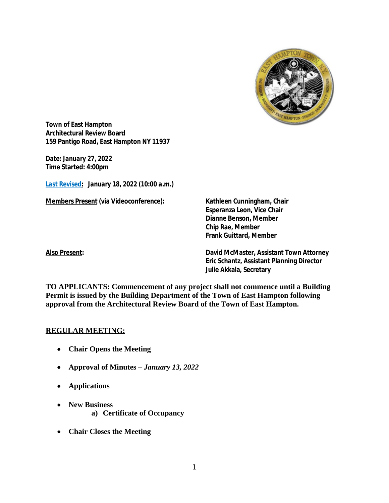

**Town of East Hampton Architectural Review Board 159 Pantigo Road, East Hampton NY 11937**

**Date:** *January 27, 2022* **Time Started: 4:00pm**

*Last Revised***:** *January 18, 2022 (10:00 a.m.)*

**Members Present (via Videoconference): Kathleen Cunningham, Chair**

**Esperanza Leon, Vice Chair Dianne Benson, Member Chip Rae, Member Frank Guittard, Member**

**Also Present: David McMaster, Assistant Town Attorney Eric Schantz, Assistant Planning Director Julie Akkala, Secretary**

**TO APPLICANTS: Commencement of any project shall not commence until a Building Permit is issued by the Building Department of the Town of East Hampton following approval from the Architectural Review Board of the Town of East Hampton.**

## **REGULAR MEETING:**

- **Chair Opens the Meeting**
- **Approval of Minutes –** *January 13, 2022*
- **Applications**
- **New Business a) Certificate of Occupancy**
- **Chair Closes the Meeting**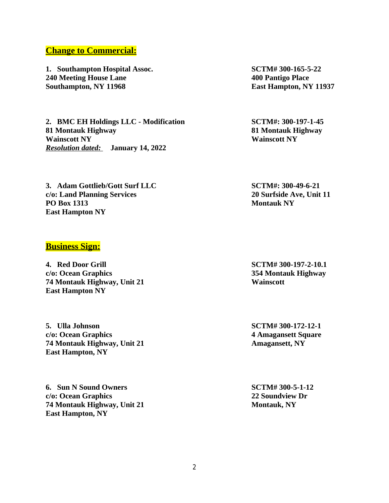## **Change to Commercial:**

**1. Southampton Hospital Assoc. SCTM# 300-165-5-22 240 Meeting House Lane 400 Pantigo Place Southampton, NY 11968 East Hampton, NY 11937**

**2. BMC EH Holdings LLC - Modification SCTM#: 300-197-1-45 81 Montauk Highway 81 Montauk Highway Wainscott NY Wainscott NY** *Resolution dated:* **January 14, 2022**

**3. Adam Gottlieb/Gott Surf LLC SCTM#: 300-49-6-21 c/o: Land Planning Services 20 Surfside Ave, Unit 11 PO Box 1313 Montauk NY East Hampton NY**

## **Business Sign:**

**4. Red Door Grill SCTM# 300-197-2-10.1 c/o: Ocean Graphics 354 Montauk Highway 74 Montauk Highway, Unit 21 Wainscott East Hampton NY**

**5. Ulla Johnson SCTM# 300-172-12-1 c/o: Ocean Graphics 4 Amagansett Square 74 Montauk Highway, Unit 21 Amagansett, NY East Hampton, NY**

**6. Sun N Sound Owners SCTM# 300-5-1-12 c/o: Ocean Graphics 22 Soundview Dr 74 Montauk Highway, Unit 21 Montauk, NY East Hampton, NY**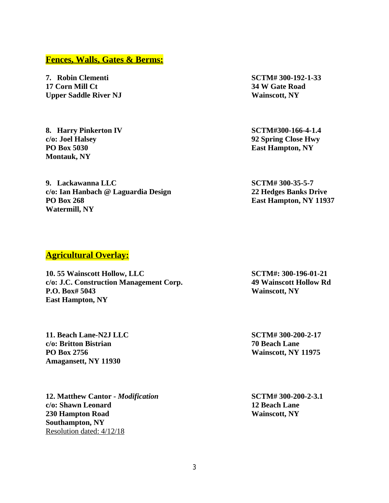#### **Fences, Walls, Gates & Berms:**

**7. Robin Clementi SCTM# 300-192-1-33 17 Corn Mill Ct 34 W Gate Road Upper Saddle River NJ Wainscott, NY** 

**8. Harry Pinkerton IV SCTM#300-166-4-1.4 c/o: Joel Halsey 92 Spring Close Hwy PO Box 5030 East Hampton, NY Montauk, NY**

**9. Lackawanna LLC SCTM# 300-35-5-7 c/o: Ian Hanbach @ Laguardia Design 22 Hedges Banks Drive PO Box 268 East Hampton, NY 11937 Watermill, NY**

## **Agricultural Overlay:**

**10. 55 Wainscott Hollow, LLC SCTM#: 300-196-01-21 c/o: J.C. Construction Management Corp. 49 Wainscott Hollow Rd P.O. Box# 5043 Wainscott, NY East Hampton, NY**

**11. Beach Lane-N2J LLC SCTM# 300-200-2-17 c/o: Britton Bistrian 70 Beach Lane PO Box 2756 Wainscott, NY 11975 Amagansett, NY 11930**

**12. Matthew Cantor -** *Modification* **SCTM# 300-200-2-3.1 c/o: Shawn Leonard 12 Beach Lane 230 Hampton Road Wainscott, NY Southampton, NY** Resolution dated: 4/12/18